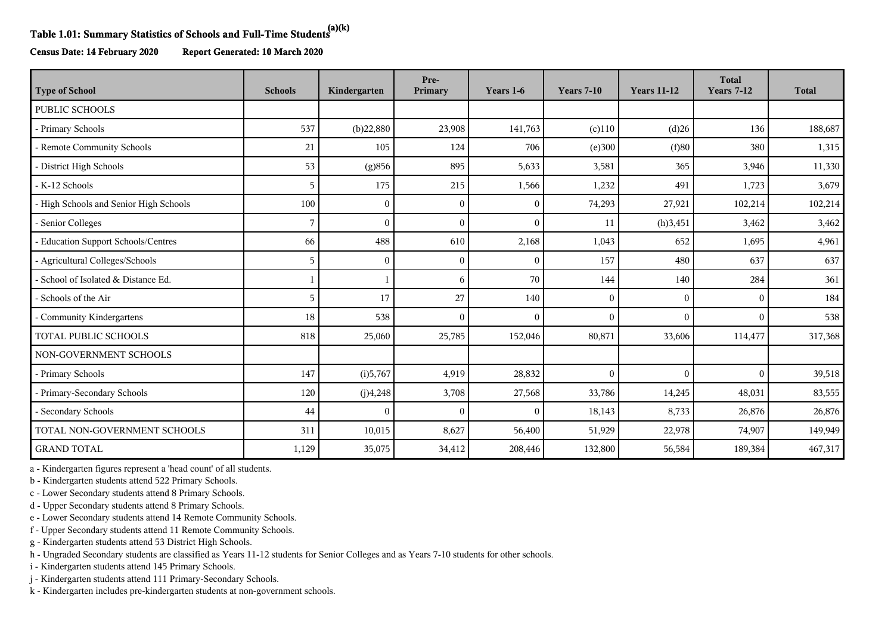## **Table 1.01: Summary Statistics of Schools and Full-Time Students(a)(k)**

**Census Date: 14 February 2020 Report Generated: 10 March 2020**

| <b>Type of School</b>                  | <b>Schools</b> | Kindergarten | Pre-<br>Primary | Years 1-6 | <b>Years 7-10</b> | <b>Years 11-12</b> | <b>Total</b><br><b>Years 7-12</b> | <b>Total</b> |
|----------------------------------------|----------------|--------------|-----------------|-----------|-------------------|--------------------|-----------------------------------|--------------|
| <b>PUBLIC SCHOOLS</b>                  |                |              |                 |           |                   |                    |                                   |              |
| - Primary Schools                      | 537            | (b)22,880    | 23,908          | 141,763   | $(c)$ 110         | (d)26              | 136                               | 188,687      |
| - Remote Community Schools             | 21             | 105          | 124             | 706       | (e)300            | (f)80              | 380                               | 1,315        |
| - District High Schools                | 53             | (g)856       | 895             | 5,633     | 3,581             | 365                | 3,946                             | 11,330       |
| - K-12 Schools                         | 5              | 175          | 215             | 1,566     | 1,232             | 491                | 1,723                             | 3,679        |
| - High Schools and Senior High Schools | 100            | $\Omega$     | $\theta$        | $\theta$  | 74,293            | 27,921             | 102,214                           | 102,214      |
| - Senior Colleges                      | 7              | $\Omega$     |                 | $\Omega$  | 11                | (h)3,451           | 3,462                             | 3,462        |
| - Education Support Schools/Centres    | 66             | 488          | 610             | 2,168     | 1,043             | 652                | 1,695                             | 4,961        |
| - Agricultural Colleges/Schools        | 5              | $\Omega$     | $\Omega$        | $\Omega$  | 157               | 480                | 637                               | 637          |
| - School of Isolated & Distance Ed.    |                |              | 6               | 70        | 144               | 140                | 284                               | 361          |
| - Schools of the Air                   | 5              | 17           | 27              | 140       | $\mathbf{0}$      | $\theta$           | $\Omega$                          | 184          |
| Community Kindergartens                | 18             | 538          | $\Omega$        | $\Omega$  | $\Omega$          | $\theta$           | $\Omega$                          | 538          |
| <b>TOTAL PUBLIC SCHOOLS</b>            | 818            | 25,060       | 25,785          | 152,046   | 80,871            | 33,606             | 114,477                           | 317,368      |
| NON-GOVERNMENT SCHOOLS                 |                |              |                 |           |                   |                    |                                   |              |
| - Primary Schools                      | 147            | (i)5,767     | 4,919           | 28,832    | $\mathbf{0}$      | $\mathbf{0}$       | $\theta$                          | 39,518       |
| - Primary-Secondary Schools            | 120            | (j)4,248     | 3,708           | 27,568    | 33,786            | 14,245             | 48,031                            | 83,555       |
| - Secondary Schools                    | 44             | $\Omega$     | $\theta$        | $\theta$  | 18,143            | 8,733              | 26,876                            | 26,876       |
| TOTAL NON-GOVERNMENT SCHOOLS           | 311            | 10,015       | 8,627           | 56,400    | 51,929            | 22,978             | 74,907                            | 149,949      |
| <b>GRAND TOTAL</b>                     | 1,129          | 35,075       | 34,412          | 208,446   | 132,800           | 56,584             | 189,384                           | 467,317      |

a - Kindergarten figures represent a 'head count' of all students.

b - Kindergarten students attend 522 Primary Schools.

c - Lower Secondary students attend 8 Primary Schools.

d - Upper Secondary students attend 8 Primary Schools.

e - Lower Secondary students attend 14 Remote Community Schools.

f - Upper Secondary students attend 11 Remote Community Schools.

g - Kindergarten students attend 53 District High Schools.

h - Ungraded Secondary students are classified as Years 11-12 students for Senior Colleges and as Years 7-10 students for other schools.

i - Kindergarten students attend 145 Primary Schools.

j - Kindergarten students attend 111 Primary-Secondary Schools.

k - Kindergarten includes pre-kindergarten students at non-government schools.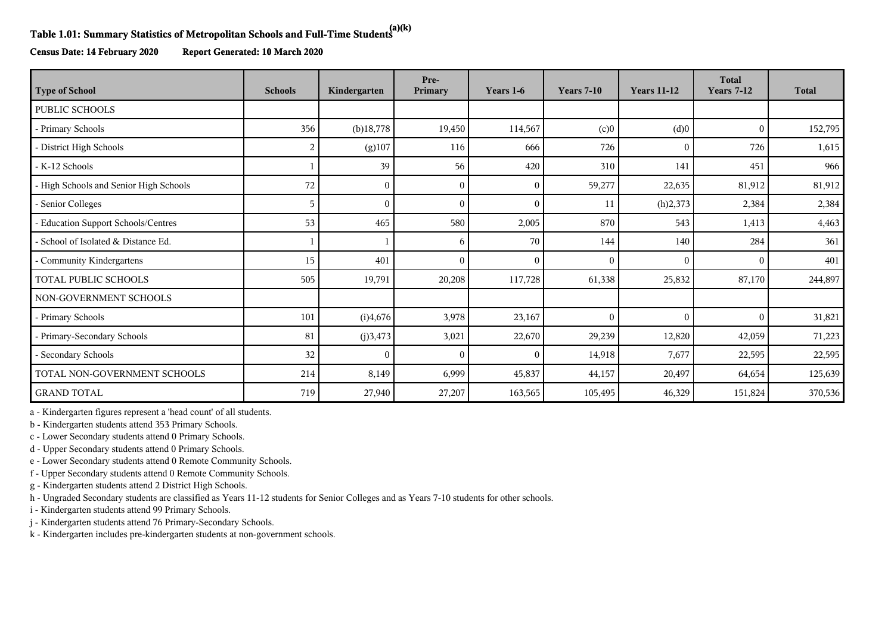## **Table 1.01: Summary Statistics of Metropolitan Schools and Full-Time Students(a)(k)**

**Census Date: 14 February 2020 Report Generated: 10 March 2020**

| <b>Type of School</b>                    | <b>Schools</b> | Kindergarten | Pre-<br>Primary | Years 1-6    | <b>Years 7-10</b> | <b>Years 11-12</b> | <b>Total</b><br><b>Years 7-12</b> | <b>Total</b> |
|------------------------------------------|----------------|--------------|-----------------|--------------|-------------------|--------------------|-----------------------------------|--------------|
| PUBLIC SCHOOLS                           |                |              |                 |              |                   |                    |                                   |              |
| - Primary Schools                        | 356            | $(b)$ 18,778 | 19,450          | 114,567      | (c)0              | (d)0               | $\theta$                          | 152,795      |
| - District High Schools                  | 2              | (g)107       | 116             | 666          | 726               | $\overline{0}$     | 726                               | 1,615        |
| - K-12 Schools                           |                | 39           | 56              | 420          | 310               | 141                | 451                               | 966          |
| - High Schools and Senior High Schools   | 72             | $\Omega$     | $\Omega$        | $\mathbf{0}$ | 59,277            | 22,635             | 81,912                            | 81,912       |
| - Senior Colleges                        | 5              | $\Omega$     |                 | $\theta$     | 11                | (h)2,373           | 2,384                             | 2,384        |
| <b>Education Support Schools/Centres</b> | 53             | 465          | 580             | 2,005        | 870               | 543                | 1,413                             | 4,463        |
| School of Isolated & Distance Ed.        |                |              | 6               | 70           | 144               | 140                | 284                               | 361          |
| Community Kindergartens                  | 15             | 401          |                 | $\Omega$     | $\Omega$          | $\overline{0}$     | $\Omega$                          | 401          |
| TOTAL PUBLIC SCHOOLS                     | 505            | 19,791       | 20,208          | 117,728      | 61,338            | 25,832             | 87,170                            | 244,897      |
| NON-GOVERNMENT SCHOOLS                   |                |              |                 |              |                   |                    |                                   |              |
| - Primary Schools                        | 101            | (i)4,676     | 3,978           | 23,167       | $\Omega$          | $\Omega$           | $\Omega$                          | 31,821       |
| - Primary-Secondary Schools              | 81             | (j)3,473     | 3,021           | 22,670       | 29,239            | 12,820             | 42,059                            | 71,223       |
| Secondary Schools                        | 32             |              |                 | $\theta$     | 14,918            | 7,677              | 22,595                            | 22,595       |
| TOTAL NON-GOVERNMENT SCHOOLS             | 214            | 8,149        | 6,999           | 45,837       | 44,157            | 20,497             | 64,654                            | 125,639      |
| <b>GRAND TOTAL</b>                       | 719            | 27,940       | 27,207          | 163,565      | 105,495           | 46,329             | 151,824                           | 370,536      |

a - Kindergarten figures represent a 'head count' of all students.

b - Kindergarten students attend 353 Primary Schools.

c - Lower Secondary students attend 0 Primary Schools.

d - Upper Secondary students attend 0 Primary Schools.

e - Lower Secondary students attend 0 Remote Community Schools.

f - Upper Secondary students attend 0 Remote Community Schools.

g - Kindergarten students attend 2 District High Schools.

h - Ungraded Secondary students are classified as Years 11-12 students for Senior Colleges and as Years 7-10 students for other schools.

i - Kindergarten students attend 99 Primary Schools.

j - Kindergarten students attend 76 Primary-Secondary Schools.

k - Kindergarten includes pre-kindergarten students at non-government schools.